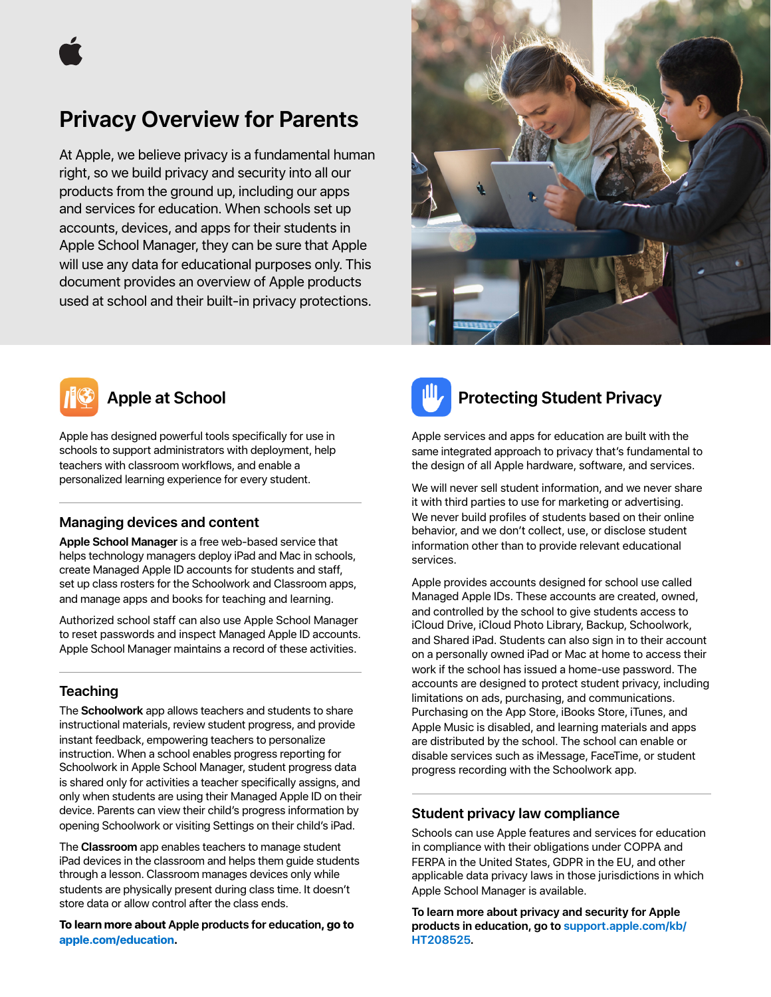

# **Privacy Overview for Parents**

At Apple, we believe privacy is a fundamental human right, so we build privacy and security into all our products from the ground up, including our apps and services for education. When schools set up accounts, devices, and apps for their students in Apple School Manager, they can be sure that Apple will use any data for educational purposes only. This document provides an overview of Apple products used at school and their built-in privacy protections.





### **Apple at School**

Apple has designed powerful tools specifically for use in schools to support administrators with deployment, help teachers with classroom workflows, and enable a personalized learning experience for every student.

### **Managing devices and content**

**Apple School Manager** is a free web-based service that helps technology managers deploy iPad and Mac in schools, create Managed Apple ID accounts for students and staff, set up class rosters for the Schoolwork and Classroom apps, and manage apps and books for teaching and learning.

Authorized school staff can also use Apple School Manager to reset passwords and inspect Managed Apple ID accounts. Apple School Manager maintains a record of these activities.

### **Teaching**

The **Schoolwork** app allows teachers and students to share instructional materials, review student progress, and provide instant feedback, empowering teachers to personalize instruction. When a school enables progress reporting for Schoolwork in Apple School Manager, student progress data is shared only for activities a teacher specifically assigns, and only when students are using their Managed Apple ID on their device. Parents can view their child's progress information by opening Schoolwork or visiting Settings on their child's iPad.

The **Classroom** app enables teachers to manage student iPad devices in the classroom and helps them guide students through a lesson. Classroom manages devices only while students are physically present during class time. It doesn't store data or allow control after the class ends.

**To learn more about Apple products for education, go to [apple.com/education](https://apple.com/education).** 



# **Protecting Student Privacy**

Apple services and apps for education are built with the same integrated approach to privacy that's fundamental to the design of all Apple hardware, software, and services.

We will never sell student information, and we never share it with third parties to use for marketing or advertising. We never build profiles of students based on their online behavior, and we don't collect, use, or disclose student information other than to provide relevant educational services.

Apple provides accounts designed for school use called Managed Apple IDs. These accounts are created, owned, and controlled by the school to give students access to iCloud Drive, iCloud Photo Library, Backup, Schoolwork, and Shared iPad. Students can also sign in to their account on a personally owned iPad or Mac at home to access their work if the school has issued a home-use password. The accounts are designed to protect student privacy, including limitations on ads, purchasing, and communications. Purchasing on the App Store, iBooks Store, iTunes, and Apple Music is disabled, and learning materials and apps are distributed by the school. The school can enable or disable services such as iMessage, FaceTime, or student progress recording with the Schoolwork app.

#### **Student privacy law compliance**

Schools can use Apple features and services for education in compliance with their obligations under COPPA and FERPA in the United States, GDPR in the EU, and other applicable data privacy laws in those jurisdictions in which Apple School Manager is available.

**To learn more about privacy and security for Apple products in education, go to [support.apple.com/kb/](https://support.apple.com/kb/HT208525) [HT208525.](https://support.apple.com/kb/HT208525)**